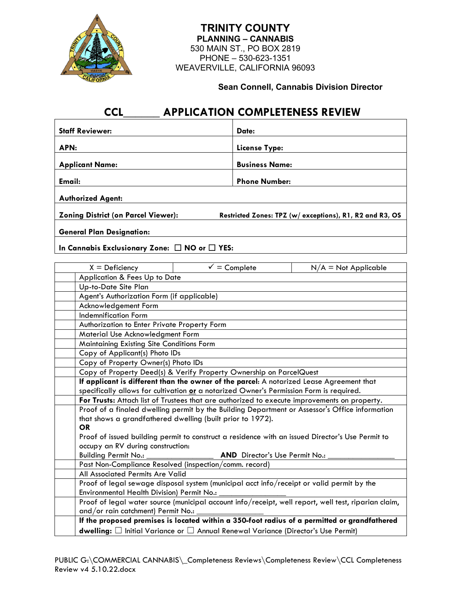

 530 MAIN ST., PO BOX 2819 **TRINITY COUNTY PLANNING – CANNABIS** PHONE – 530-623-1351 WEAVERVILLE, CALIFORNIA 96093

**Sean Connell, Cannabis Division Director**

٦

## **CCL\_\_\_\_\_\_ APPLICATION COMPLETENESS REVIEW**

| <b>Staff Reviewer:</b>                     | Date:                                                   |  |
|--------------------------------------------|---------------------------------------------------------|--|
| APN:                                       | License Type:                                           |  |
| <b>Applicant Name:</b>                     | <b>Business Name:</b>                                   |  |
| Email:                                     | <b>Phone Number:</b>                                    |  |
| <b>Authorized Agent:</b>                   |                                                         |  |
| <b>Zoning District (on Parcel Viewer):</b> | Restricted Zones: TPZ (w/exceptions), R1, R2 and R3, OS |  |
| <b>General Plan Designation:</b>           |                                                         |  |
|                                            |                                                         |  |

**In Cannabis Exclusionary Zone:** ☐ **NO or** ☐ **YES:**

| $X =$ Deficiency                          | $\checkmark$ = Complete                                                                              | $N/A = Not Applicable$ |  |  |  |
|-------------------------------------------|------------------------------------------------------------------------------------------------------|------------------------|--|--|--|
|                                           | Application & Fees Up to Date                                                                        |                        |  |  |  |
| Up-to-Date Site Plan                      |                                                                                                      |                        |  |  |  |
|                                           | Agent's Authorization Form (if applicable)                                                           |                        |  |  |  |
| Acknowledgement Form                      |                                                                                                      |                        |  |  |  |
| <b>Indemnification Form</b>               |                                                                                                      |                        |  |  |  |
|                                           | Authorization to Enter Private Property Form                                                         |                        |  |  |  |
| Material Use Acknowledgment Form          |                                                                                                      |                        |  |  |  |
| Maintaining Existing Site Conditions Form |                                                                                                      |                        |  |  |  |
| Copy of Applicant(s) Photo IDs            |                                                                                                      |                        |  |  |  |
|                                           | Copy of Property Owner(s) Photo IDs                                                                  |                        |  |  |  |
|                                           | Copy of Property Deed(s) & Verify Property Ownership on ParcelQuest                                  |                        |  |  |  |
|                                           | If applicant is different than the owner of the parcel: A notarized Lease Agreement that             |                        |  |  |  |
|                                           | specifically allows for cultivation or a notarized Owner's Permission Form is required.              |                        |  |  |  |
|                                           | For Trusts: Attach list of Trustees that are authorized to execute improvements on property.         |                        |  |  |  |
|                                           | Proof of a finaled dwelling permit by the Building Department or Assessor's Office information       |                        |  |  |  |
|                                           | that shows a grandfathered dwelling (built prior to 1972).                                           |                        |  |  |  |
|                                           | <b>OR</b>                                                                                            |                        |  |  |  |
|                                           | Proof of issued building permit to construct a residence with an issued Director's Use Permit to     |                        |  |  |  |
|                                           | occupy an RV during construction:                                                                    |                        |  |  |  |
| <b>Building Permit No.:</b>               | AND Director's Use Permit No.:                                                                       |                        |  |  |  |
|                                           | Past Non-Compliance Resolved (inspection/comm. record)                                               |                        |  |  |  |
|                                           | All Associated Permits Are Valid                                                                     |                        |  |  |  |
|                                           | Proof of legal sewage disposal system (municipal acct info/receipt or valid permit by the            |                        |  |  |  |
|                                           | Environmental Health Division) Permit No.:                                                           |                        |  |  |  |
|                                           | Proof of legal water source (municipal account info/receipt, well report, well test, riparian claim, |                        |  |  |  |
|                                           | and/or rain catchment) Permit No.:                                                                   |                        |  |  |  |
|                                           | If the proposed premises is located within a 350-foot radius of a permitted or grandfathered         |                        |  |  |  |
|                                           | <b>dwelling:</b> $\Box$ Initial Variance or $\Box$ Annual Renewal Variance (Director's Use Permit)   |                        |  |  |  |